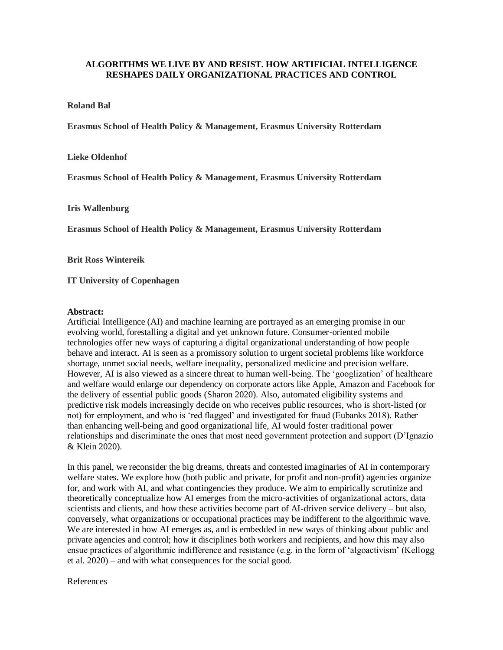## **ALGORITHMS WE LIVE BY AND RESIST. HOW ARTIFICIAL INTELLIGENCE RESHAPES DAILY ORGANIZATIONAL PRACTICES AND CONTROL**

## **Roland Bal**

**Erasmus School of Health Policy & Management, Erasmus University Rotterdam**

**Lieke Oldenhof**

**Erasmus School of Health Policy & Management, Erasmus University Rotterdam**

**Iris Wallenburg**

**Erasmus School of Health Policy & Management, Erasmus University Rotterdam**

**Brit Ross Wintereik**

**IT University of Copenhagen**

## **Abstract:**

Artificial Intelligence (AI) and machine learning are portrayed as an emerging promise in our evolving world, forestalling a digital and yet unknown future. Consumer-oriented mobile technologies offer new ways of capturing a digital organizational understanding of how people behave and interact. AI is seen as a promissory solution to urgent societal problems like workforce shortage, unmet social needs, welfare inequality, personalized medicine and precision welfare. However, AI is also viewed as a sincere threat to human well-being. The 'googlization' of healthcare and welfare would enlarge our dependency on corporate actors like Apple, Amazon and Facebook for the delivery of essential public goods (Sharon 2020). Also, automated eligibility systems and predictive risk models increasingly decide on who receives public resources, who is short-listed (or not) for employment, and who is 'red flagged' and investigated for fraud (Eubanks 2018). Rather than enhancing well-being and good organizational life, AI would foster traditional power relationships and discriminate the ones that most need government protection and support (D'Ignazio & Klein 2020).

In this panel, we reconsider the big dreams, threats and contested imaginaries of AI in contemporary welfare states. We explore how (both public and private, for profit and non-profit) agencies organize for, and work with AI, and what contingencies they produce. We aim to empirically scrutinize and theoretically conceptualize how AI emerges from the micro-activities of organizational actors, data scientists and clients, and how these activities become part of AI-driven service delivery – but also, conversely, what organizations or occupational practices may be indifferent to the algorithmic wave. We are interested in how AI emerges as, and is embedded in new ways of thinking about public and private agencies and control; how it disciplines both workers and recipients, and how this may also ensue practices of algorithmic indifference and resistance (e.g. in the form of 'algoactivism' (Kellogg et al. 2020) – and with what consequences for the social good.

References